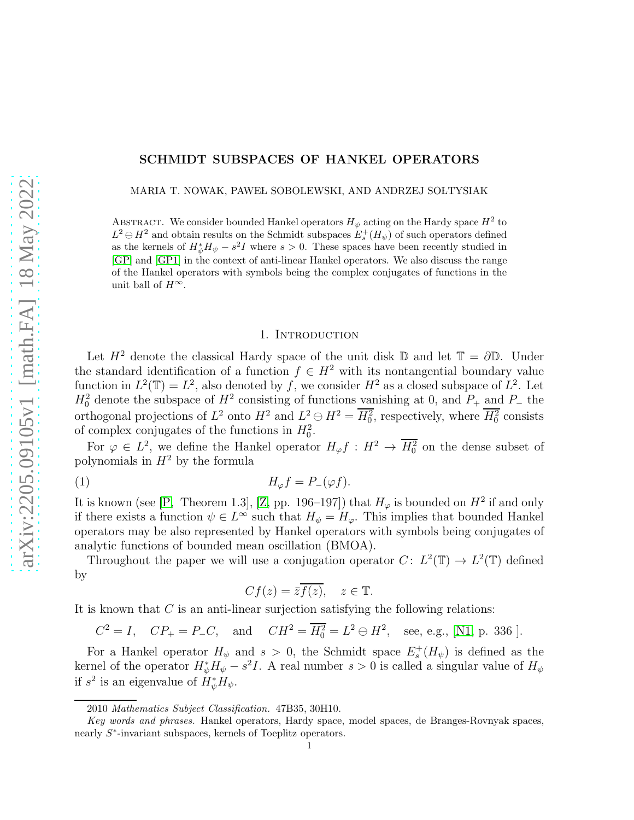# SCHMIDT SUBSPACES OF HANKEL OPERATORS

MARIA T. NOWAK, PAWEŁ SOBOLEWSKI, AND ANDRZEJ SOŁTYSIAK

ABSTRACT. We consider bounded Hankel operators  $H_{\psi}$  acting on the Hardy space  $H^2$  to  $L^2 \ominus H^2$  and obtain results on the Schmidt subspaces  $E_s^+(H_\psi)$  of such operators defined as the kernels of  $H^*_{\psi}H_{\psi} - s^2I$  where  $s > 0$ . These spaces have been recently studied in [\[GP\]](#page-9-0) and [\[GP1\]](#page-9-1) in the context of anti-linear Hankel operators. We also discuss the range of the Hankel operators with symbols being the complex conjugates of functions in the unit ball of  $H^{\infty}$ .

#### 1. INTRODUCTION

Let  $H^2$  denote the classical Hardy space of the unit disk D and let  $\mathbb{T} = \partial \mathbb{D}$ . Under the standard identification of a function  $f \in H^2$  with its nontangential boundary value function in  $L^2(\mathbb{T}) = L^2$ , also denoted by f, we consider  $H^2$  as a closed subspace of  $L^2$ . Let  $H_0^2$  denote the subspace of  $H^2$  consisting of functions vanishing at 0, and  $P_+$  and  $P_-$  the orthogonal projections of  $L^2$  onto  $H^2$  and  $L^2 \ominus H^2 = H_0^2$ , respectively, where  $H_0^2$  consists of complex conjugates of the functions in  $H_0^2$ .

For  $\varphi \in L^2$ , we define the Hankel operator  $H_{\varphi} f : H^2 \to H_0^2$  on the dense subset of polynomials in  $H^2$  by the formula

$$
(1) \t\t\t H_{\varphi}f = P_{-}(\varphi f).
$$

It is known (see [\[P,](#page-9-2) Theorem 1.3], [\[Z,](#page-9-3) pp. 196–197]) that  $H_{\varphi}$  is bounded on  $H^2$  if and only if there exists a function  $\psi \in L^{\infty}$  such that  $H_{\psi} = H_{\varphi}$ . This implies that bounded Hankel operators may be also represented by Hankel operators with symbols being conjugates of analytic functions of bounded mean oscillation (BMOA).

Throughout the paper we will use a conjugation operator  $C: L^2(\mathbb{T}) \to L^2(\mathbb{T})$  defined by

<span id="page-0-0"></span>
$$
Cf(z) = \overline{z}\overline{f(z)}, \quad z \in \mathbb{T}.
$$

It is known that  $C$  is an anti-linear surjection satisfying the following relations:

 $C^2 = I$ ,  $CP_+ = P_-C$ , and  $CH^2 = \overline{H_0^2} = L^2 \ominus H^2$ , see, e.g., [\[N1,](#page-9-4) p. 336].

For a Hankel operator  $H_{\psi}$  and  $s > 0$ , the Schmidt space  $E_s^+(H_{\psi})$  is defined as the kernel of the operator  $H^*_{\psi}H^{\check{}}_{\psi}-s^2I$ . A real number  $s>0$  is called a singular value of  $H_{\psi}$ if  $s^2$  is an eigenvalue of  $H^*_{\psi}H_{\psi}$ .

<sup>2010</sup> *Mathematics Subject Classification.* 47B35, 30H10.

*Key words and phrases.* Hankel operators, Hardy space, model spaces, de Branges-Rovnyak spaces, nearly  $S^*$ -invariant subspaces, kernels of Toeplitz operators.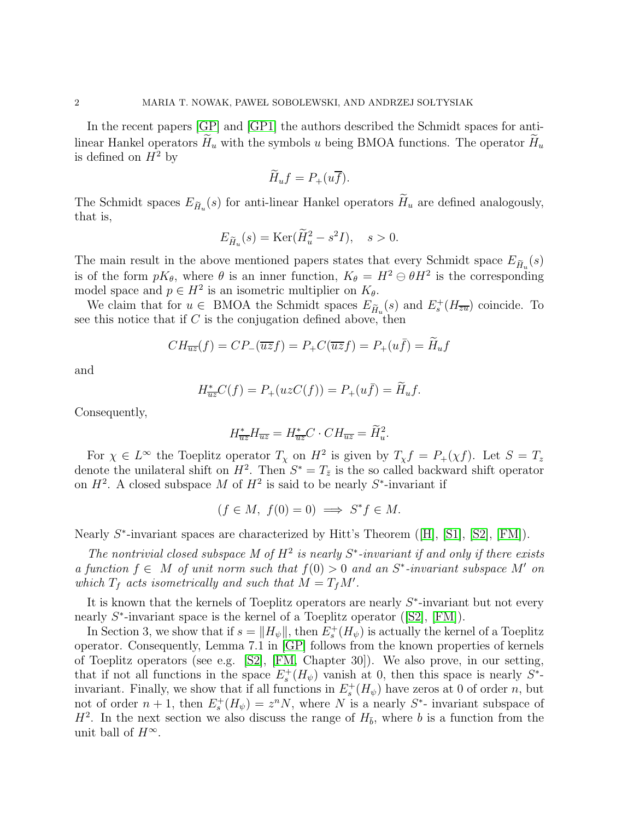In the recent papers [\[GP\]](#page-9-0) and [\[GP1\]](#page-9-1) the authors described the Schmidt spaces for antilinear Hankel operators  $\widetilde{H}_u$  with the symbols u being BMOA functions. The operator  $\widetilde{H}_u$ is defined on  $H^2$  by

$$
\widetilde{H}_u f = P_+(u \overline{f}).
$$

The Schmidt spaces  $E_{\tilde{H}_u}(s)$  for anti-linear Hankel operators  $H_u$  are defined analogously, that is,

$$
E_{\widetilde{H}_u}(s) = \text{Ker}(\widetilde{H}_u^2 - s^2 I), \quad s > 0.
$$

The main result in the above mentioned papers states that every Schmidt space  $E_{\tilde{H}_u}(s)$ is of the form  $pK_{\theta}$ , where  $\theta$  is an inner function,  $K_{\theta} = H^2 \ominus \theta H^2$  is the corresponding model space and  $p \in H^2$  is an isometric multiplier on  $K_{\theta}$ .

We claim that for  $u \in \text{BMOA}$  the Schmidt spaces  $E_{\tilde{H}_u}(s)$  and  $E_s^+(H_{\overline{z}u})$  coincide. To see this notice that if  $C$  is the conjugation defined above, then

$$
CH_{\overline{uz}}(f) = CP_{-}(\overline{uz}f) = P_{+}C(\overline{uz}f) = P_{+}(u\overline{f}) = \widetilde{H}_u f
$$

and

$$
H^*_{\overline{uz}}C(f) = P_+(uzC(f)) = P_+(u\overline{f}) = \widetilde{H}_u f.
$$

Consequently,

$$
H^*_{\overline{u}\overline{z}}H_{\overline{u}\overline{z}} = H^*_{\overline{u}\overline{z}}C \cdot CH_{\overline{u}\overline{z}} = \widetilde{H}_u^2.
$$

For  $\chi \in L^{\infty}$  the Toeplitz operator  $T_{\chi}$  on  $H^2$  is given by  $T_{\chi} f = P_{+}(\chi f)$ . Let  $S = T_z$ denote the unilateral shift on  $H^2$ . Then  $S^* = T_{\bar{z}}$  is the so called backward shift operator on  $H^2$ . A closed subspace M of  $H^2$  is said to be nearly  $S^*$ -invariant if

$$
(f \in M, f(0) = 0) \implies S^* f \in M.
$$

Nearly  $S^*$ -invariant spaces are characterized by Hitt's Theorem ([\[H\]](#page-9-5), [\[S1\]](#page-9-6), [\[S2\]](#page-9-7), [\[FM\]](#page-9-8)).

The nontrivial closed subspace M of  $H^2$  is nearly  $S^*$ -invariant if and only if there exists a function  $f \in M$  of unit norm such that  $f(0) > 0$  and an  $S^*$ -invariant subspace M' on which  $T_f$  acts isometrically and such that  $\dot{M} = T_f M'$ .

It is known that the kernels of Toeplitz operators are nearly  $S^*$ -invariant but not every nearly  $S^*$ -invariant space is the kernel of a Toeplitz operator ([\[S2\]](#page-9-7), [\[FM\]](#page-9-8)).

In Section 3, we show that if  $s = ||H_{\psi}||$ , then  $E_s^+(H_{\psi})$  is actually the kernel of a Toeplitz operator. Consequently, Lemma 7.1 in [\[GP\]](#page-9-0) follows from the known properties of kernels of Toeplitz operators (see e.g. [\[S2\]](#page-9-7), [\[FM,](#page-9-8) Chapter 30]). We also prove, in our setting, that if not all functions in the space  $E_s^+(H_\psi)$  vanish at 0, then this space is nearly  $S^*$ invariant. Finally, we show that if all functions in  $E_s^+(H_\psi)$  have zeros at 0 of order n, but not of order  $n+1$ , then  $E_s^+(H_\psi) = z^n N$ , where N is a nearly  $S^*$ - invariant subspace of  $H^2$ . In the next section we also discuss the range of  $H_{\bar{b}}$ , where b is a function from the unit ball of  $H^{\infty}$ .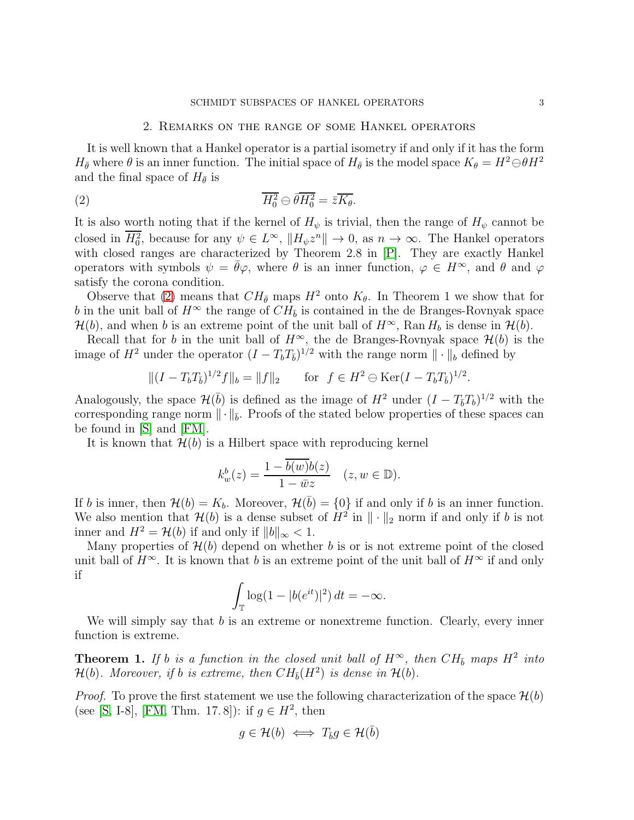### <span id="page-2-0"></span>SCHMIDT SUBSPACES OF HANKEL OPERATORS  $3$

# 2. Remarks on the range of some Hankel operators

It is well known that a Hankel operator is a partial isometry if and only if it has the form  $H_{\bar{\theta}}$  where  $\theta$  is an inner function. The initial space of  $H_{\bar{\theta}}$  is the model space  $K_{\theta} = H^2 \ominus \theta H^2$ and the final space of  $H_{\bar{\theta}}$  is

(2) 
$$
\overline{H_0^2} \ominus \overline{\theta} \overline{H_0^2} = \overline{z} \overline{K_{\theta}}.
$$

It is also worth noting that if the kernel of  $H_{\psi}$  is trivial, then the range of  $H_{\psi}$  cannot be closed in  $\overline{H_0^2}$ , because for any  $\psi \in L^{\infty}$ ,  $||H_{\psi}z^n|| \to 0$ , as  $n \to \infty$ . The Hankel operators with closed ranges are characterized by Theorem 2.8 in [\[P\]](#page-9-2). They are exactly Hankel operators with symbols  $\psi = \bar{\theta}\varphi$ , where  $\theta$  is an inner function,  $\varphi \in H^{\infty}$ , and  $\theta$  and  $\varphi$ satisfy the corona condition.

Observe that [\(2\)](#page-2-0) means that  $CH_{\bar{\theta}}$  maps  $H^2$  onto  $K_{\theta}$ . In Theorem 1 we show that for b in the unit ball of  $H^{\infty}$  the range of  $CH_{\bar{b}}$  is contained in the de Branges-Rovnyak space  $\mathcal{H}(b)$ , and when b is an extreme point of the unit ball of  $H^{\infty}$ , Ran  $H_b$  is dense in  $\mathcal{H}(b)$ .

Recall that for b in the unit ball of  $H^{\infty}$ , the de Branges-Rovnyak space  $\mathcal{H}(b)$  is the image of  $H^2$  under the operator  $(I - T_b T_{\overline{b}})^{1/2}$  with the range norm  $\|\cdot\|_b$  defined by

$$
||(I - T_bT_{\overline{b}})^{1/2}f||_b = ||f||_2
$$
 for  $f \in H^2 \ominus \text{Ker}(I - T_bT_{\overline{b}})^{1/2}$ .

Analogously, the space  $\mathcal{H}(\bar{b})$  is defined as the image of  $H^2$  under  $(I - T_{\bar{b}}T_b)^{1/2}$  with the corresponding range norm  $\|\cdot\|_{\bar{b}}$ . Proofs of the stated below properties of these spaces can be found in [\[S\]](#page-9-9) and [\[FM\]](#page-9-8).

It is known that  $\mathcal{H}(b)$  is a Hilbert space with reproducing kernel

$$
k_w^b(z)=\frac{1-b(w)b(z)}{1-\bar{w}z}\quad(z,w\in\mathbb{D}).
$$

If b is inner, then  $\mathcal{H}(b) = K_b$ . Moreover,  $\mathcal{H}(\bar{b}) = \{0\}$  if and only if b is an inner function. We also mention that  $\mathcal{H}(b)$  is a dense subset of  $H^2$  in  $\|\cdot\|_2$  norm if and only if b is not inner and  $H^2 = \mathcal{H}(b)$  if and only if  $||b||_{\infty} < 1$ .

Many properties of  $\mathcal{H}(b)$  depend on whether b is or is not extreme point of the closed unit ball of  $H^{\infty}$ . It is known that b is an extreme point of the unit ball of  $H^{\infty}$  if and only if

$$
\int_{\mathbb{T}} \log(1 - |b(e^{it})|^2) dt = -\infty.
$$

We will simply say that  $b$  is an extreme or nonextreme function. Clearly, every inner function is extreme.

**Theorem 1.** If b is a function in the closed unit ball of  $H^{\infty}$ , then  $CH_{\bar{b}}$  maps  $H^2$  into  $\mathcal{H}(b)$ . Moreover, if b is extreme, then  $CH_{\bar{b}}(H^2)$  is dense in  $\mathcal{H}(b)$ .

*Proof.* To prove the first statement we use the following characterization of the space  $\mathcal{H}(b)$ (see [\[S,](#page-9-9) I-8], [\[FM,](#page-9-8) Thm. 17.8]): if  $g \in H^2$ , then

$$
g\in\mathcal{H}(b)\iff T_{\bar{b}}g\in\mathcal{H}(\bar{b})
$$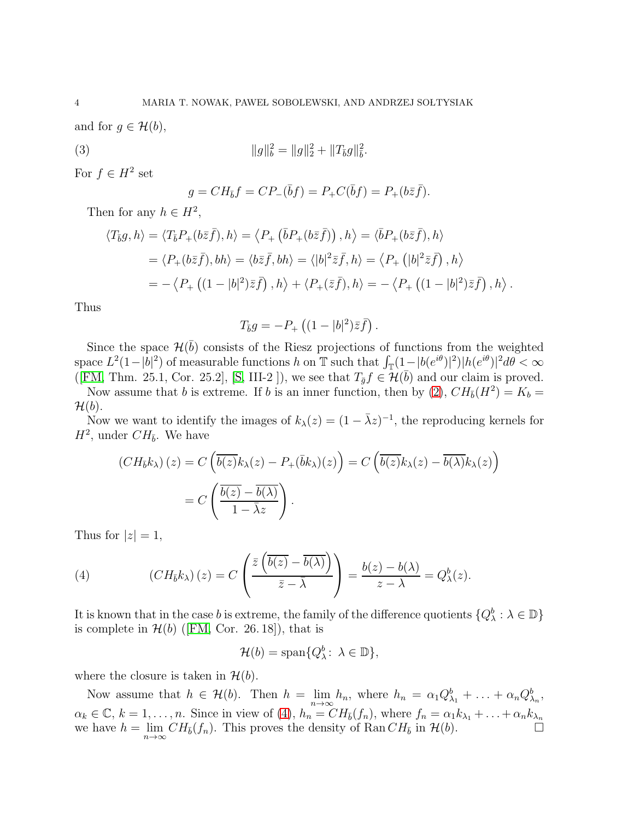and for  $g \in \mathcal{H}(b)$ ,

(3) 
$$
||g||_b^2 = ||g||_2^2 + ||T_{\bar{b}}g||_{\bar{b}}^2
$$

For  $f \in H^2$  set

$$
g = CH_{\bar{b}}f = CP_{-}(\bar{b}f) = P_{+}C(\bar{b}f) = P_{+}(b\bar{z}\bar{f}).
$$

.

Then for any  $h \in H^2$ ,

$$
\langle T_{\bar{b}}g, h \rangle = \langle T_{\bar{b}}P_+(b\bar{z}\bar{f}), h \rangle = \langle P_+\left(\bar{b}P_+(b\bar{z}\bar{f})\right), h \rangle = \langle \bar{b}P_+(b\bar{z}\bar{f}), h \rangle
$$
  
\n
$$
= \langle P_+(b\bar{z}\bar{f}), bh \rangle = \langle b\bar{z}\bar{f}, bh \rangle = \langle |b|^2\bar{z}\bar{f}, h \rangle = \langle P_+\left(|b|^2\bar{z}\bar{f}\right), h \rangle
$$
  
\n
$$
= -\langle P_+\left((1-|b|^2)\bar{z}\bar{f}\right), h \rangle + \langle P_+(\bar{z}\bar{f}), h \rangle = -\langle P_+\left((1-|b|^2)\bar{z}\bar{f}\right), h \rangle.
$$

Thus

$$
T_{\bar{b}}g = -P_+\left((1-|b|^2)\bar{z}\bar{f}\right).
$$

Since the space  $\mathcal{H}(\bar{b})$  consists of the Riesz projections of functions from the weighted space  $L^2(1-|b|^2)$  of measurable functions h on T such that  $\int_{\mathbb{T}}(1-|b(e^{i\theta})|^2)|h(e^{i\theta})|^2d\theta < \infty$ ([\[FM,](#page-9-8) Thm. 25.1, Cor. 25.2], [\[S,](#page-9-9) III-2 ]), we see that  $T_{\bar{g}}f \in \mathcal{H}(\bar{b})$  and our claim is proved.

Now assume that b is extreme. If b is an inner function, then by [\(2\)](#page-2-0),  $CH_{\bar{b}}(H^2) = K_b =$  $\mathcal{H}(b)$ .

Now we want to identify the images of  $k_{\lambda}(z) = (1 - \bar{\lambda}z)^{-1}$ , the reproducing kernels for  $H^2$ , under  $CH_{\bar{b}}$ . We have

$$
(CH_{\bar{b}}k_{\lambda})(z) = C\left(\overline{b(z)}k_{\lambda}(z) - P_{+}(\bar{b}k_{\lambda})(z)\right) = C\left(\overline{b(z)}k_{\lambda}(z) - \overline{b(\lambda)}k_{\lambda}(z)\right)
$$

$$
= C\left(\frac{\overline{b(z)} - \overline{b(\lambda)}}{1 - \overline{\lambda}z}\right).
$$

Thus for  $|z|=1$ ,

<span id="page-3-0"></span>(4) 
$$
(CH_{\bar{b}}k_{\lambda})(z) = C\left(\frac{\bar{z}\left(\overline{b(z)} - \overline{b(\lambda)}\right)}{\bar{z} - \bar{\lambda}}\right) = \frac{b(z) - b(\lambda)}{z - \lambda} = Q_{\lambda}^{b}(z).
$$

It is known that in the case b is extreme, the family of the difference quotients  $\{Q^b_\lambda : \lambda \in \mathbb{D}\}\$ is complete in  $\mathcal{H}(b)$  ([\[FM,](#page-9-8) Cor. 26.18]), that is

$$
\mathcal{H}(b) = \text{span}\{Q_{\lambda}^b : \lambda \in \mathbb{D}\},\
$$

where the closure is taken in  $\mathcal{H}(b)$ .

Now assume that  $h \in \mathcal{H}(b)$ . Then  $h = \lim_{n \to \infty} h_n$ , where  $h_n = \alpha_1 Q_{\lambda_1}^b + \ldots + \alpha_n Q_{\lambda_n}^b$ ,  $\alpha_k \in \mathbb{C}, k = 1, \ldots, n$ . Since in view of [\(4\)](#page-3-0),  $h_n = CH_{\bar{b}}(f_n)$ , where  $f_n = \alpha_1 k_{\lambda_1} + \ldots + \alpha_n k_{\lambda_n}$ we have  $h = \lim_{n \to \infty} CH_{\bar{b}}(f_n)$ . This proves the density of Ran  $CH_{\bar{b}}$  in  $\mathcal{H}(b)$ .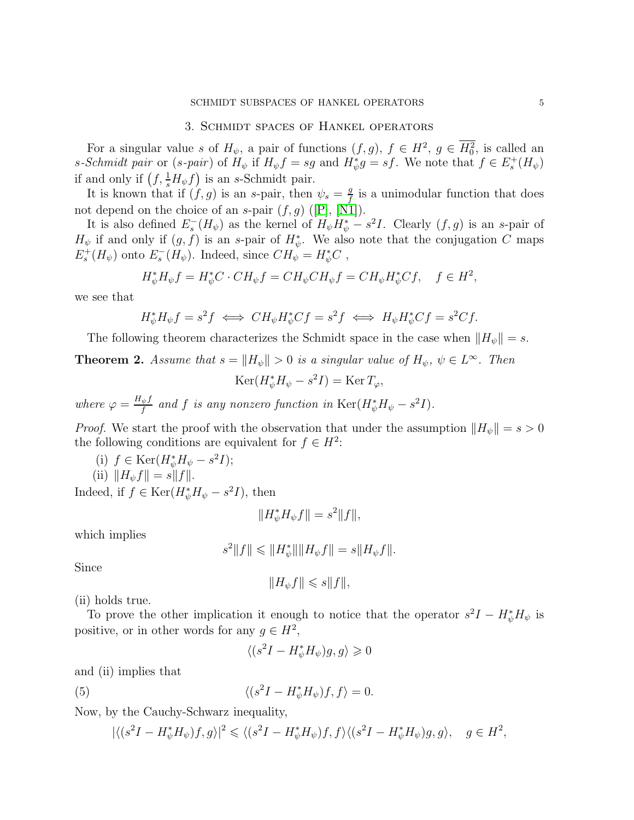# 3. Schmidt spaces of Hankel operators

For a singular value s of  $H_{\psi}$ , a pair of functions  $(f, g)$ ,  $f \in H^2$ ,  $g \in H_0^2$ , is called an s-Schmidt pair or (s-pair) of  $H_{\psi}$  if  $H_{\psi}f = sg$  and  $H_{\psi}^*g = sf$ . We note that  $f \in E_s^+(H_{\psi})$ if and only if  $(f, \frac{1}{s}H_{\psi}f)$  is an s-Schmidt pair.

It is known that if  $(f, g)$  is an s-pair, then  $\psi_s = \frac{g}{f}$  $\frac{g}{f}$  is a unimodular function that does not depend on the choice of an s-pair  $(f, g)$  ([\[P\]](#page-9-2), [\[N1\]](#page-9-4)).

It is also defined  $E_s^-(H_\psi)$  as the kernel of  $H_\psi H_\psi^* - s^2 I$ . Clearly  $(f, g)$  is an s-pair of  $H_{\psi}$  if and only if  $(g, f)$  is an s-pair of  $H_{\psi}^*$ . We also note that the conjugation C maps  $E_s^+(H_{\psi})$  onto  $E_s^-(H_{\psi})$ . Indeed, since  $CH_{\psi}^{\dagger} = H_{\psi}^*C$ ,

$$
H^*_{\psi}H_{\psi}f = H^*_{\psi}C \cdot CH_{\psi}f = CH_{\psi}CH_{\psi}f = CH_{\psi}H^*_{\psi}Cf, \quad f \in H^2,
$$

we see that

$$
H^*_{\psi}H_{\psi}f = s^2f \iff CH_{\psi}H^*_{\psi}Cf = s^2f \iff H_{\psi}H^*_{\psi}Cf = s^2Cf.
$$

The following theorem characterizes the Schmidt space in the case when  $||H_{\psi}|| = s$ .

# **Theorem 2.** Assume that  $s = ||H_{\psi}|| > 0$  is a singular value of  $H_{\psi}$ ,  $\psi \in L^{\infty}$ . Then  $\text{Ker}(H^*_{\psi}H_{\psi}-s^2I)=\text{Ker} T_{\varphi},$

where  $\varphi = \frac{H_{\psi}f}{f}$  $\frac{\partial \psi f}{\partial f}$  and f is any nonzero function in  $\text{Ker}(H^*_{\psi}H_{\psi}-s^2I).$ 

*Proof.* We start the proof with the observation that under the assumption  $||H_{\psi}|| = s > 0$ the following conditions are equivalent for  $f \in H^2$ :

(i)  $f \in \text{Ker}(H^*_{\psi}H_{\psi} - s^2I);$ (ii)  $||H_{\psi}f|| = s||f||.$ Indeed, if  $f \in \text{Ker}(H^*_{\psi}H_{\psi} - s^2I)$ , then

$$
||H^*_{\psi}H_{\psi}f|| = s^2||f||,
$$

which implies

$$
s^2||f|| \leq ||H^*_{\psi}|| ||H_{\psi}f|| = s||H_{\psi}f||.
$$

Since

$$
||H_{\psi}f|| \leqslant s||f||,
$$

(ii) holds true.

To prove the other implication it enough to notice that the operator  $s^2I - H^*_{\psi}H_{\psi}$  is positive, or in other words for any  $g \in H^2$ ,

<span id="page-4-0"></span>
$$
\langle (s^2I - H^*_{\psi}H_{\psi})g, g \rangle \geq 0
$$

and (ii) implies that

(5) 
$$
\langle (s^2I - H^*_{\psi}H_{\psi})f, f \rangle = 0.
$$

Now, by the Cauchy-Schwarz inequality,

$$
|\langle (s^2I - H^*_{\psi}H_{\psi})f, g \rangle|^2 \leq \langle (s^2I - H^*_{\psi}H_{\psi})f, f \rangle \langle (s^2I - H^*_{\psi}H_{\psi})g, g \rangle, \quad g \in H^2,
$$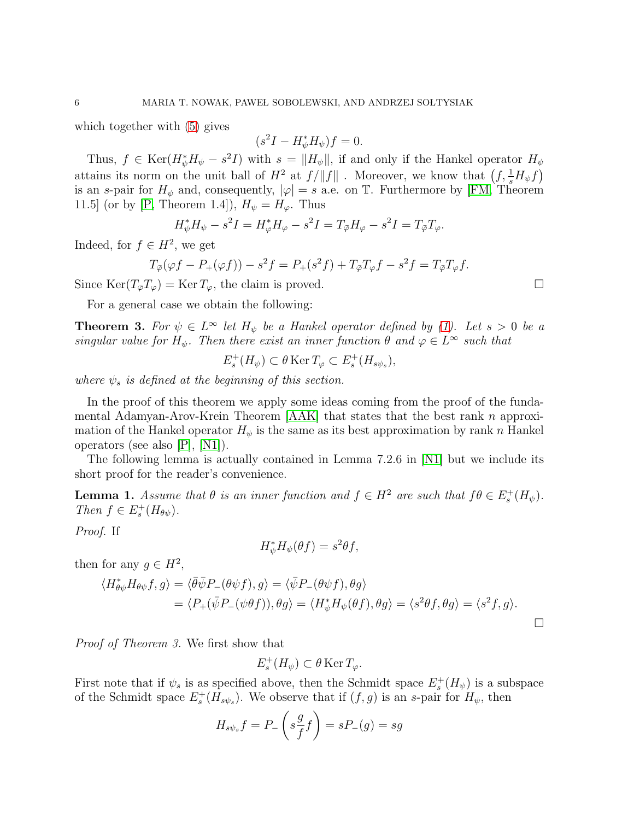which together with [\(5\)](#page-4-0) gives

$$
(s^2I - H^*_{\psi}H_{\psi})f = 0.
$$

Thus,  $f \in \text{Ker}(H^*_{\psi}H_{\psi} - s^2I)$  with  $s = ||H_{\psi}||$ , if and only if the Hankel operator  $H_{\psi}$ attains its norm on the unit ball of  $H^2$  at  $f/||f||$ . Moreover, we know that  $(f, \frac{1}{s}H_{\psi}f)$ is an s-pair for  $H_{\psi}$  and, consequently,  $|\varphi|=s$  a.e. on T. Furthermore by [\[FM,](#page-9-8) Theorem 11.5] (or by [\[P,](#page-9-2) Theorem 1.4]),  $H_{\psi} = H_{\varphi}$ . Thus

$$
H_{\psi}^* H_{\psi} - s^2 I = H_{\varphi}^* H_{\varphi} - s^2 I = T_{\bar{\varphi}} H_{\varphi} - s^2 I = T_{\bar{\varphi}} T_{\varphi}.
$$

Indeed, for  $f \in H^2$ , we get

$$
T_{\overline{\varphi}}(\varphi f - P_+(\varphi f)) - s^2 f = P_+(s^2 f) + T_{\overline{\varphi}} T_{\varphi} f - s^2 f = T_{\overline{\varphi}} T_{\varphi} f.
$$

Since  $\text{Ker}(T_{\bar{\varphi}}T_{\varphi}) = \text{Ker }T_{\varphi}$ , the claim is proved.

For a general case we obtain the following:

**Theorem 3.** For  $\psi \in L^{\infty}$  let  $H_{\psi}$  be a Hankel operator defined by [\(1\)](#page-0-0). Let  $s > 0$  be a singular value for  $H_{\psi}$ . Then there exist an inner function  $\theta$  and  $\varphi \in L^{\infty}$  such that

$$
E_s^+(H_{\psi}) \subset \theta \operatorname{Ker} T_{\varphi} \subset E_s^+(H_{s\psi_s}),
$$

where  $\psi_s$  is defined at the beginning of this section.

In the proof of this theorem we apply some ideas coming from the proof of the fundamental Adamyan-Arov-Krein Theorem  $[AAK]$  that states that the best rank n approximation of the Hankel operator  $H_{\psi}$  is the same as its best approximation by rank n Hankel operators (see also [\[P\]](#page-9-2), [\[N1\]](#page-9-4)).

The following lemma is actually contained in Lemma 7.2.6 in [\[N1\]](#page-9-4) but we include its short proof for the reader's convenience.

**Lemma 1.** Assume that  $\theta$  is an inner function and  $f \in H^2$  are such that  $f\theta \in E_s^+(H_\psi)$ . Then  $f \in E_s^+(H_{\theta\psi})$ .

Proof. If

$$
H^*_{\psi}H_{\psi}(\theta f) = s^2 \theta f,
$$

then for any  $g \in H^2$ ,

$$
\langle H_{\theta\psi}^* H_{\theta\psi} f, g \rangle = \langle \bar{\theta} \bar{\psi} P_- (\theta \psi f), g \rangle = \langle \bar{\psi} P_- (\theta \psi f), \theta g \rangle
$$
  
=  $\langle P_+ (\bar{\psi} P_- (\psi \theta f)), \theta g \rangle = \langle H_{\psi}^* H_{\psi} (\theta f), \theta g \rangle = \langle s^2 \theta f, \theta g \rangle = \langle s^2 f, g \rangle.$ 

Proof of Theorem 3. We first show that

$$
E_s^+(H_{\psi}) \subset \theta \operatorname{Ker} T_{\varphi}.
$$

First note that if  $\psi_s$  is as specified above, then the Schmidt space  $E_s^+(H_\psi)$  is a subspace of the Schmidt space  $E_s^+(H_{s\psi_s})$ . We observe that if  $(f, g)$  is an s-pair for  $H_{\psi}$ , then

$$
H_{s\psi_s}f = P_-\left(s\frac{g}{f}f\right) = sP_-(g) = sg
$$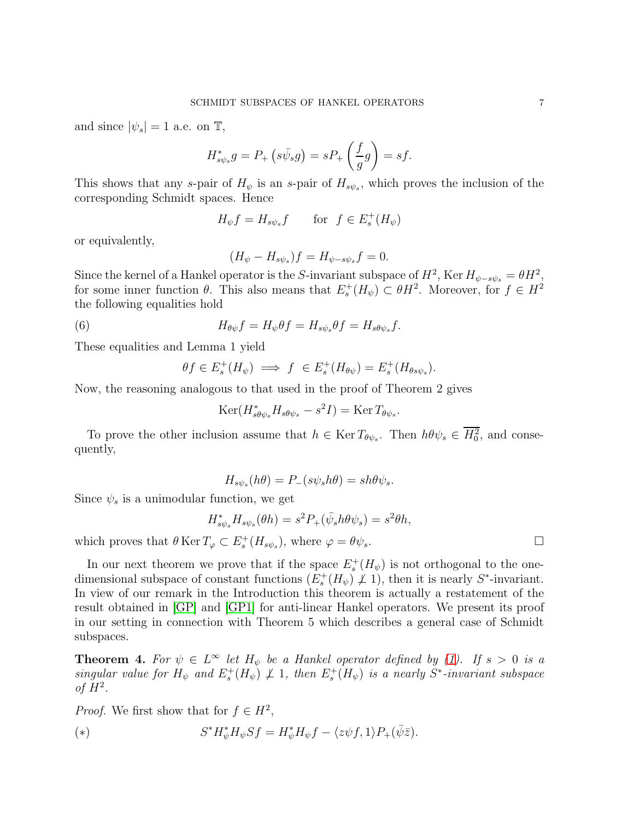and since  $|\psi_s| = 1$  a.e. on  $\mathbb{T}$ ,

$$
H_{s\psi_s}^*g = P_+\left(s\bar{\psi_s}g\right) = sP_+\left(\frac{f}{g}g\right) = sf.
$$

This shows that any s-pair of  $H_{\psi}$  is an s-pair of  $H_{s\psi_s}$ , which proves the inclusion of the corresponding Schmidt spaces. Hence

$$
H_{\psi}f = H_{s\psi_s}f \qquad \text{for} \ \ f \in E_s^+(H_{\psi})
$$

or equivalently,

$$
(H_{\psi}-H_{s\psi_s})f=H_{\psi-s\psi_s}f=0.
$$

Since the kernel of a Hankel operator is the S-invariant subspace of  $H^2$ , Ker  $H_{\psi-s\psi_s} = \theta H^2$ , for some inner function  $\theta$ . This also means that  $E_s^+(H_\psi) \subset \theta H^2$ . Moreover, for  $f \in H^2$ the following equalities hold

(6) 
$$
H_{\theta\psi}f = H_{\psi}\theta f = H_{s\psi_s}\theta f = H_{s\theta\psi_s}f.
$$

These equalities and Lemma 1 yield

$$
\theta f \in E_s^+(H_\psi) \implies f \in E_s^+(H_{\theta\psi}) = E_s^+(H_{\theta s\psi_s}).
$$

Now, the reasoning analogous to that used in the proof of Theorem 2 gives

$$
\operatorname{Ker}(H_{s\theta\psi_s}^*H_{s\theta\psi_s}-s^2I)=\operatorname{Ker} T_{\theta\psi_s}.
$$

To prove the other inclusion assume that  $h \in \text{Ker } T_{\theta \psi_s}$ . Then  $h \theta \psi_s \in H_0^2$ , and consequently,

$$
H_{s\psi_s}(h\theta) = P_-(s\psi_s h\theta) = sh\theta\psi_s.
$$

Since  $\psi_s$  is a unimodular function, we get

$$
H_{s\psi_s}^* H_{s\psi_s}(\theta h) = s^2 P_+(\bar{\psi}_s h \theta \psi_s) = s^2 \theta h,
$$

which proves that  $\theta \text{Ker } T_{\varphi} \subset E_s^+(H_{s\psi_s})$ , where  $\varphi = \theta \psi_s$ .

In our next theorem we prove that if the space  $E_s^+(H_\psi)$  is not orthogonal to the onedimensional subspace of constant functions  $(E_s^+(H_\psi),\mathcal{L}_1)$ , then it is nearly  $S^*$ -invariant. In view of our remark in the Introduction this theorem is actually a restatement of the result obtained in [\[GP\]](#page-9-0) and [\[GP1\]](#page-9-1) for anti-linear Hankel operators. We present its proof in our setting in connection with Theorem 5 which describes a general case of Schmidt subspaces.

**Theorem 4.** For  $\psi \in L^{\infty}$  let  $H_{\psi}$  be a Hankel operator defined by [\(1\)](#page-0-0). If  $s > 0$  is a singular value for  $H_{\psi}$  and  $E_s^+(H_{\psi}) \not\perp 1$ , then  $E_s^+(\overline{H}_{\psi})$  is a nearly  $S^*$ -invariant subspace of  $H^2$ .

*Proof.* We first show that for  $f \in H^2$ ,

<span id="page-6-0"></span>(\*)  

$$
S^* H^*_{\psi} H_{\psi} Sf = H^*_{\psi} H_{\psi} f - \langle z \psi f, 1 \rangle P_+(\bar{\psi}\bar{z}).
$$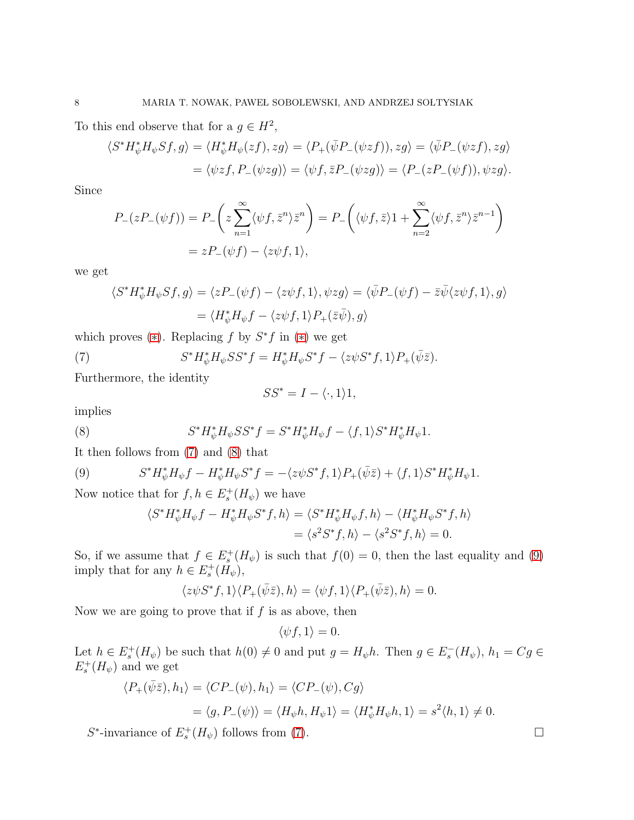To this end observe that for a  $g \in H^2$ ,

$$
\langle S^* H^*_\psi H_\psi Sf, g \rangle = \langle H^*_\psi H_\psi(zf), zg \rangle = \langle P_+(\bar{\psi}P_-(\psi zf)), zg \rangle = \langle \bar{\psi}P_-(\psi zf), zg \rangle
$$
  
=  $\langle \psi zf, P_-(\psi zg) \rangle = \langle \psi f, \bar{z}P_-(\psi zg) \rangle = \langle P_-(zP_-(\psi f)), \psi zg \rangle.$ 

Since

$$
P_{-}(zP_{-}(\psi f)) = P_{-}\left(z\sum_{n=1}^{\infty}\langle\psi f,\bar{z}^{n}\rangle\bar{z}^{n}\right) = P_{-}\left(\langle\psi f,\bar{z}\rangle 1 + \sum_{n=2}^{\infty}\langle\psi f,\bar{z}^{n}\rangle\bar{z}^{n-1}\right)
$$

$$
= zP_{-}(\psi f) - \langle z\psi f,1\rangle,
$$

we get

$$
\langle S^* H^*_{\psi} H_{\psi} Sf, g \rangle = \langle z P_{-}(\psi f) - \langle z \psi f, 1 \rangle, \psi z g \rangle = \langle \bar{\psi} P_{-}(\psi f) - \bar{z} \bar{\psi} \langle z \psi f, 1 \rangle, g \rangle
$$
  
=  $\langle H^*_{\psi} H_{\psi} f - \langle z \psi f, 1 \rangle P_{+}(\bar{z} \bar{\psi}), g \rangle$ 

which proves  $(*)$ . Replacing f by  $S^*f$  in  $(*)$  we get

(7) 
$$
S^* H^*_{\psi} H_{\psi} S S^* f = H^*_{\psi} H_{\psi} S^* f - \langle z \psi S^* f, 1 \rangle P_+ (\bar{\psi} \bar{z}).
$$

Furthermore, the identity

<span id="page-7-1"></span><span id="page-7-0"></span>
$$
SS^* = I - \langle \cdot, 1 \rangle 1,
$$

implies

(8) 
$$
S^* H^*_{\psi} H_{\psi} S S^* f = S^* H^*_{\psi} H_{\psi} f - \langle f, 1 \rangle S^* H^*_{\psi} H_{\psi} 1.
$$

It then follows from [\(7\)](#page-7-0) and [\(8\)](#page-7-1) that

(9) 
$$
S^* H^*_{\psi} H_{\psi} f - H^*_{\psi} H_{\psi} S^* f = -\langle z \psi S^* f, 1 \rangle P_+(\bar{\psi} \bar{z}) + \langle f, 1 \rangle S^* H^*_{\psi} H_{\psi} 1.
$$

Now notice that for  $f, h \in E_s^+(H_\psi)$  we have

<span id="page-7-2"></span>
$$
\langle S^* H^*_{\psi} H_{\psi} f - H^*_{\psi} H_{\psi} S^* f, h \rangle = \langle S^* H^*_{\psi} H_{\psi} f, h \rangle - \langle H^*_{\psi} H_{\psi} S^* f, h \rangle
$$
  
=  $\langle s^2 S^* f, h \rangle - \langle s^2 S^* f, h \rangle = 0.$ 

So, if we assume that  $f \in E_s^+(H_\psi)$  is such that  $f(0) = 0$ , then the last equality and [\(9\)](#page-7-2) imply that for any  $h \in E_s^+(H_\psi)$ ,

$$
\langle z\psi S^*f,1\rangle\langle P_+(\bar\psi\bar z),h\rangle=\langle \psi f,1\rangle\langle P_+(\bar\psi\bar z),h\rangle=0.
$$

Now we are going to prove that if  $f$  is as above, then

 $\langle \psi f, 1 \rangle = 0.$ 

Let  $h \in E_s^+(H_\psi)$  be such that  $h(0) \neq 0$  and put  $g = H_\psi h$ . Then  $g \in E_s^-(H_\psi)$ ,  $h_1 = Cg \in$  $E_s^+(H_\psi)$  and we get

$$
\langle P_+(\bar{\psi}\bar{z}), h_1 \rangle = \langle CP_-(\psi), h_1 \rangle = \langle CP_-(\psi), Cg \rangle
$$
  
=  $\langle g, P_-(\psi) \rangle = \langle H_{\psi}h, H_{\psi}1 \rangle = \langle H_{\psi}^*H_{\psi}h, 1 \rangle = s^2 \langle h, 1 \rangle \neq 0.$ 

 $S^*$ -invariance of  $E_s^+(H_\psi)$  follows from [\(7\)](#page-7-0).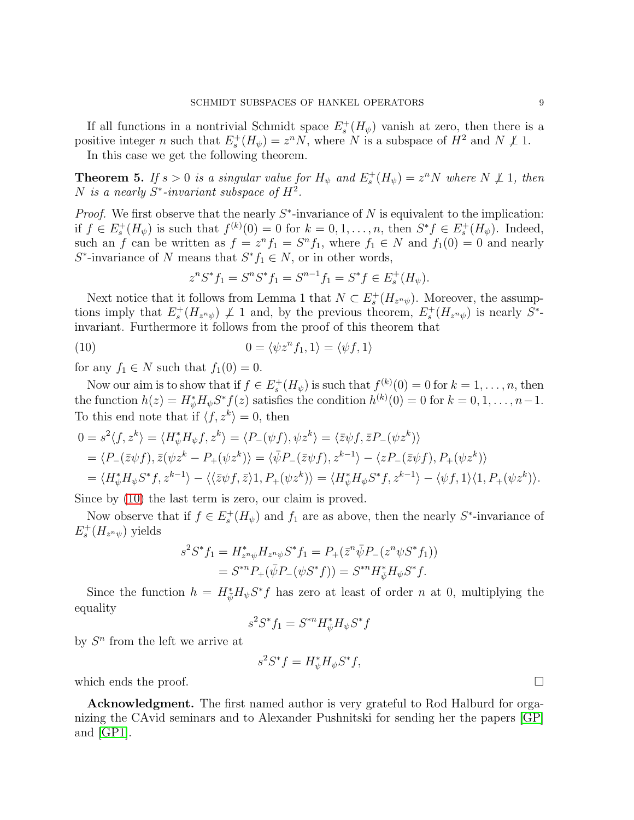If all functions in a nontrivial Schmidt space  $E_s^+(H_\psi)$  vanish at zero, then there is a positive integer *n* such that  $E_s^+(H_\psi) = z^n N$ , where N is a subspace of  $H^2$  and  $N \not\perp 1$ .

In this case we get the following theorem.

**Theorem 5.** If  $s > 0$  is a singular value for  $H_{\psi}$  and  $E_s^+(H_{\psi}) = z^n N$  where  $N \not\perp 1$ , then N is a nearly  $S^*$ -invariant subspace of  $H^2$ .

*Proof.* We first observe that the nearly  $S^*$ -invariance of N is equivalent to the implication: if  $f \in E_s^+(H_\psi)$  is such that  $f^{(k)}(0) = 0$  for  $k = 0, 1, \ldots, n$ , then  $S^* f \in E_s^+(H_\psi)$ . Indeed, such an f can be written as  $f = z^n f_1 = S^n f_1$ , where  $f_1 \in N$  and  $f_1(0) = 0$  and nearly  $S^*$ -invariance of N means that  $S^* f_1 \in N$ , or in other words,

<span id="page-8-0"></span>
$$
z^{n}S^{*}f_{1} = S^{n}S^{*}f_{1} = S^{n-1}f_{1} = S^{*}f \in E_{s}^{+}(H_{\psi}).
$$

Next notice that it follows from Lemma 1 that  $N \subset E_s^+(H_{z^n\psi})$ . Moreover, the assumptions imply that  $E_s^+(H_{z^n\psi}) \not\perp 1$  and, by the previous theorem,  $E_s^+(H_{z^n\psi})$  is nearly  $S^*$ invariant. Furthermore it follows from the proof of this theorem that

(10) 
$$
0 = \langle \psi z^n f_1, 1 \rangle = \langle \psi f, 1 \rangle
$$

for any  $f_1 \in N$  such that  $f_1(0) = 0$ .

Now our aim is to show that if  $f \in E_s^+(H_\psi)$  is such that  $f^{(k)}(0) = 0$  for  $k = 1, \ldots, n$ , then the function  $h(z) = H^*_{\psi} H_{\psi} S^* f(z)$  satisfies the condition  $h^{(k)}(0) = 0$  for  $k = 0, 1, \ldots, n-1$ . To this end note that if  $\langle f, z^k \rangle = 0$ , then

$$
0 = s^2 \langle f, z^k \rangle = \langle H_{\psi}^* H_{\psi} f, z^k \rangle = \langle P_{-}(\psi f), \psi z^k \rangle = \langle \overline{z} \psi f, \overline{z} P_{-}(\psi z^k) \rangle
$$
  
=  $\langle P_{-}(\overline{z} \psi f), \overline{z} (\psi z^k - P_{+}(\psi z^k)) \rangle = \langle \overline{\psi} P_{-}(\overline{z} \psi f), z^{k-1} \rangle - \langle z P_{-}(\overline{z} \psi f), P_{+}(\psi z^k) \rangle$   
=  $\langle H_{\psi}^* H_{\psi} S^* f, z^{k-1} \rangle - \langle \langle \overline{z} \psi f, \overline{z} \rangle 1, P_{+}(\psi z^k) \rangle = \langle H_{\psi}^* H_{\psi} S^* f, z^{k-1} \rangle - \langle \psi f, 1 \rangle \langle 1, P_{+}(\psi z^k) \rangle.$ 

Since by [\(10\)](#page-8-0) the last term is zero, our claim is proved.

Now observe that if  $f \in E_s^+(H_\psi)$  and  $f_1$  are as above, then the nearly  $S^*$ -invariance of  $E_s^+(H_{z^n\psi})$  yields

$$
s^2 S^* f_1 = H_{z^n \psi}^* H_{z^n \psi} S^* f_1 = P_+(\bar{z}^n \bar{\psi} P_-(z^n \psi S^* f_1))
$$
  
=  $S^{*n} P_+(\bar{\psi} P_-(\psi S^* f)) = S^{*n} H_{\bar{\psi}}^* H_{\psi} S^* f.$ 

Since the function  $h = H_{\psi}^* H_{\psi} S^* f$  has zero at least of order n at 0, multiplying the equality

$$
s^2 S^* f_1 = S^{*n} H^*_{\bar{\psi}} H_{\psi} S^* f
$$

by  $S<sup>n</sup>$  from the left we arrive at

$$
s^2 S^* f = H^*_{\psi} H_{\psi} S^* f,
$$

which ends the proof.  $\Box$ 

Acknowledgment. The first named author is very grateful to Rod Halburd for organizing the CAvid seminars and to Alexander Pushnitski for sending her the papers [\[GP\]](#page-9-0) and [\[GP1\]](#page-9-1).